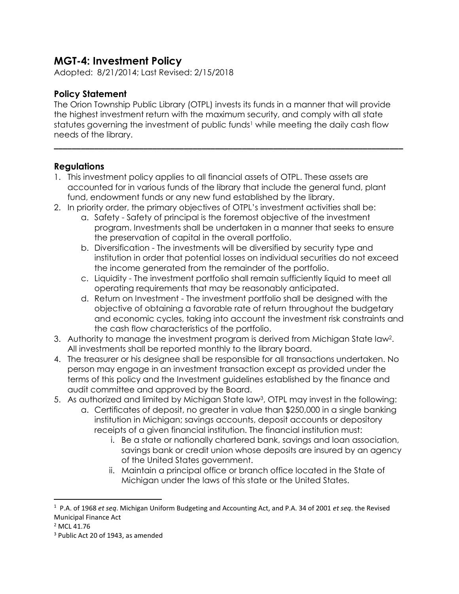## **MGT-4: Investment Policy**

Adopted: 8/21/2014; Last Revised: 2/15/2018

## **Policy Statement**

The Orion Township Public Library (OTPL) invests its funds in a manner that will provide the highest investment return with the maximum security, and comply with all state statutes governing the investment of public funds<sup>1</sup> while meeting the daily cash flow needs of the library.

**\_\_\_\_\_\_\_\_\_\_\_\_\_\_\_\_\_\_\_\_\_\_\_\_\_\_\_\_\_\_\_\_\_\_\_\_\_\_\_\_\_\_\_\_\_\_\_\_\_\_\_\_\_\_\_\_\_\_\_\_\_\_\_\_\_\_\_\_\_\_\_\_\_\_\_\_\_\_**

## **Regulations**

- 1. This investment policy applies to all financial assets of OTPL. These assets are accounted for in various funds of the library that include the general fund, plant fund, endowment funds or any new fund established by the library.
- 2. In priority order, the primary objectives of OTPL's investment activities shall be:
	- a. Safety Safety of principal is the foremost objective of the investment program. Investments shall be undertaken in a manner that seeks to ensure the preservation of capital in the overall portfolio.
	- b. Diversification The investments will be diversified by security type and institution in order that potential losses on individual securities do not exceed the income generated from the remainder of the portfolio.
	- c. Liquidity The investment portfolio shall remain sufficiently liquid to meet all operating requirements that may be reasonably anticipated.
	- d. Return on Investment The investment portfolio shall be designed with the objective of obtaining a favorable rate of return throughout the budgetary and economic cycles, taking into account the investment risk constraints and the cash flow characteristics of the portfolio.
- 3. Authority to manage the investment program is derived from Michigan State law<sup>2</sup>. All investments shall be reported monthly to the library board.
- 4. The treasurer or his designee shall be responsible for all transactions undertaken. No person may engage in an investment transaction except as provided under the terms of this policy and the Investment guidelines established by the finance and audit committee and approved by the Board.
- 5. As authorized and limited by Michigan State law<sup>3</sup>, OTPL may invest in the following:
	- a. Certificates of deposit, no greater in value than \$250,000 in a single banking institution in Michigan; savings accounts, deposit accounts or depository receipts of a given financial institution. The financial institution must:
		- i. Be a state or nationally chartered bank, savings and loan association, savings bank or credit union whose deposits are insured by an agency of the United States government.
		- ii. Maintain a principal office or branch office located in the State of Michigan under the laws of this state or the United States.

 $\overline{a}$ 

<sup>1</sup> P.A. of 1968 *et seq*. Michigan Uniform Budgeting and Accounting Act, and P.A. 34 of 2001 *et seq*. the Revised Municipal Finance Act

<sup>&</sup>lt;sup>2</sup> MCL 41.76

<sup>&</sup>lt;sup>3</sup> Public Act 20 of 1943, as amended